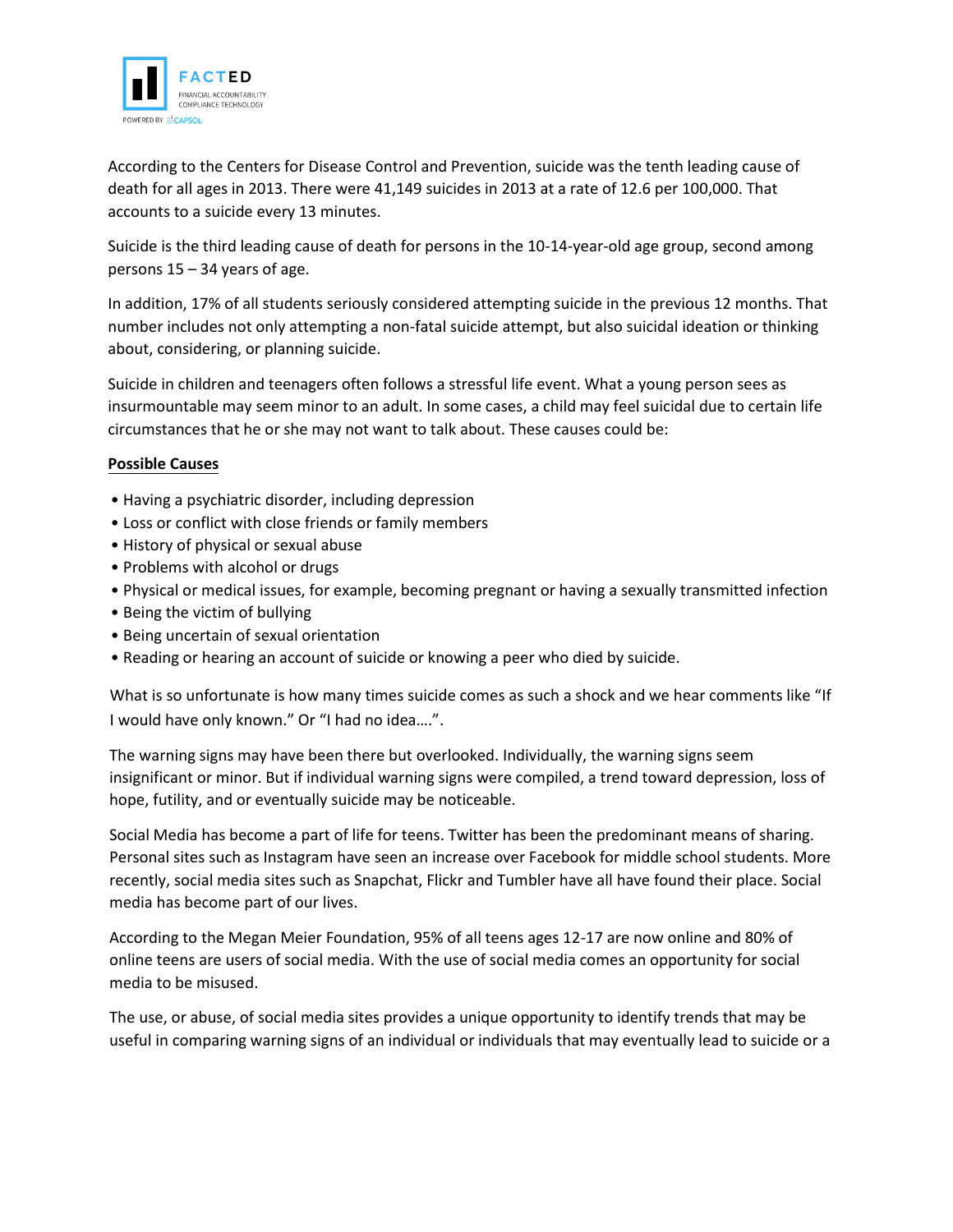

According to the Centers for Disease Control and Prevention, suicide was the tenth leading cause of death for all ages in 2013. There were 41,149 suicides in 2013 at a rate of 12.6 per 100,000. That accounts to a suicide every 13 minutes.

Suicide is the third leading cause of death for persons in the 10-14-year-old age group, second among persons 15 – 34 years of age.

In addition, 17% of all students seriously considered attempting suicide in the previous 12 months. That number includes not only attempting a non-fatal suicide attempt, but also suicidal ideation or thinking about, considering, or planning suicide.

Suicide in children and teenagers often follows a stressful life event. What a young person sees as insurmountable may seem minor to an adult. In some cases, a child may feel suicidal due to certain life circumstances that he or she may not want to talk about. These causes could be:

## **Possible Causes**

- Having a psychiatric disorder, including depression
- Loss or conflict with close friends or family members
- History of physical or sexual abuse
- Problems with alcohol or drugs
- Physical or medical issues, for example, becoming pregnant or having a sexually transmitted infection
- Being the victim of bullying
- Being uncertain of sexual orientation
- Reading or hearing an account of suicide or knowing a peer who died by suicide.

What is so unfortunate is how many times suicide comes as such a shock and we hear comments like "If I would have only known." Or "I had no idea….".

The warning signs may have been there but overlooked. Individually, the warning signs seem insignificant or minor. But if individual warning signs were compiled, a trend toward depression, loss of hope, futility, and or eventually suicide may be noticeable.

Social Media has become a part of life for teens. Twitter has been the predominant means of sharing. Personal sites such as Instagram have seen an increase over Facebook for middle school students. More recently, social media sites such as Snapchat, Flickr and Tumbler have all have found their place. Social media has become part of our lives.

According to the Megan Meier Foundation, 95% of all teens ages 12-17 are now online and 80% of online teens are users of social media. With the use of social media comes an opportunity for social media to be misused.

The use, or abuse, of social media sites provides a unique opportunity to identify trends that may be useful in comparing warning signs of an individual or individuals that may eventually lead to suicide or a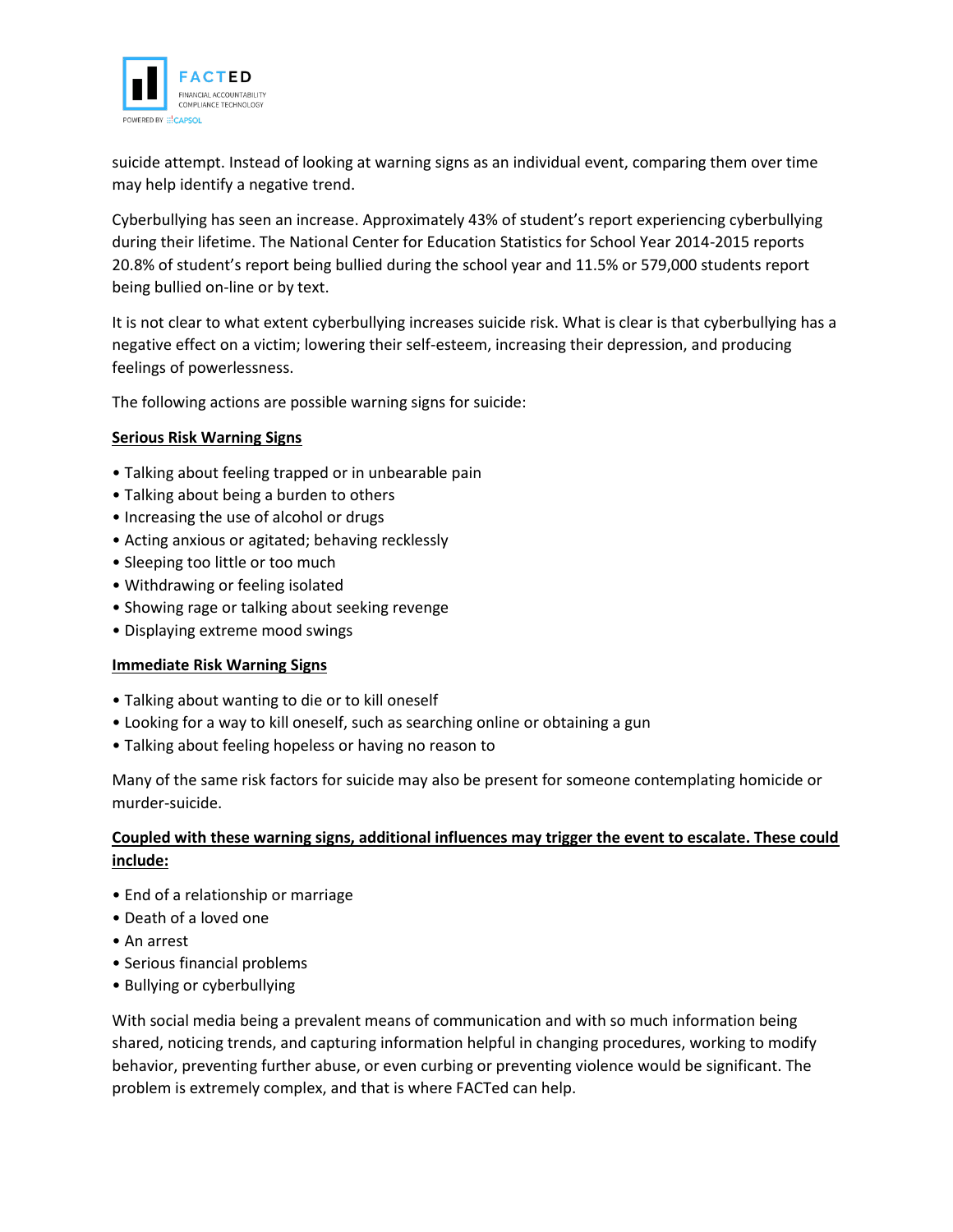

suicide attempt. Instead of looking at warning signs as an individual event, comparing them over time may help identify a negative trend.

Cyberbullying has seen an increase. Approximately 43% of student's report experiencing cyberbullying during their lifetime. The National Center for Education Statistics for School Year 2014-2015 reports 20.8% of student's report being bullied during the school year and 11.5% or 579,000 students report being bullied on-line or by text.

It is not clear to what extent cyberbullying increases suicide risk. What is clear is that cyberbullying has a negative effect on a victim; lowering their self-esteem, increasing their depression, and producing feelings of powerlessness.

The following actions are possible warning signs for suicide:

## **Serious Risk Warning Signs**

- Talking about feeling trapped or in unbearable pain
- Talking about being a burden to others
- Increasing the use of alcohol or drugs
- Acting anxious or agitated; behaving recklessly
- Sleeping too little or too much
- Withdrawing or feeling isolated
- Showing rage or talking about seeking revenge
- Displaying extreme mood swings

## **Immediate Risk Warning Signs**

- Talking about wanting to die or to kill oneself
- Looking for a way to kill oneself, such as searching online or obtaining a gun
- Talking about feeling hopeless or having no reason to

Many of the same risk factors for suicide may also be present for someone contemplating homicide or murder-suicide.

## **Coupled with these warning signs, additional influences may trigger the event to escalate. These could include:**

- End of a relationship or marriage
- Death of a loved one
- An arrest
- Serious financial problems
- Bullying or cyberbullying

With social media being a prevalent means of communication and with so much information being shared, noticing trends, and capturing information helpful in changing procedures, working to modify behavior, preventing further abuse, or even curbing or preventing violence would be significant. The problem is extremely complex, and that is where FACTed can help.